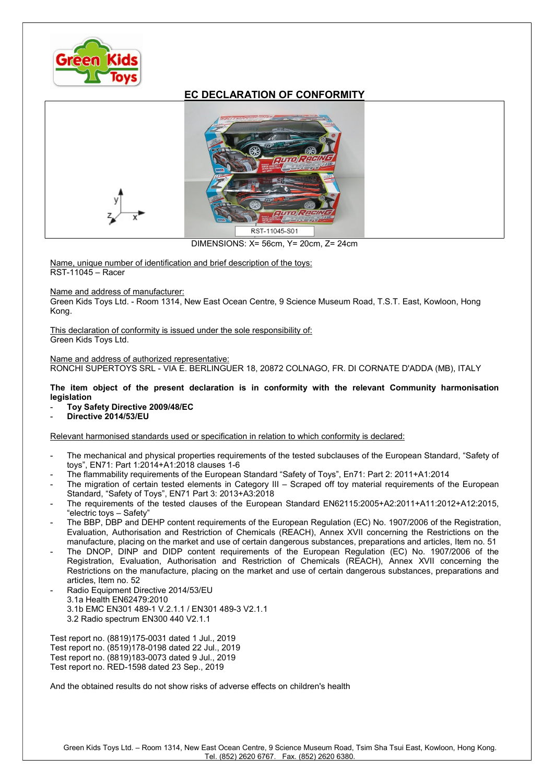

## EC DECLARATION OF CONFORMITY



DIMENSIONS: X= 56cm, Y= 20cm, Z= 24cm

Name, unique number of identification and brief description of the toys: RST-11045 – Racer

## Name and address of manufacturer:

Green Kids Toys Ltd. - Room 1314, New East Ocean Centre, 9 Science Museum Road, T.S.T. East, Kowloon, Hong Kong.

This declaration of conformity is issued under the sole responsibility of: Green Kids Toys Ltd.

## Name and address of authorized representative:

RONCHI SUPERTOYS SRL - VIA E. BERLINGUER 18, 20872 COLNAGO, FR. DI CORNATE D'ADDA (MB), ITALY

## The item object of the present declaration is in conformity with the relevant Community harmonisation legislation

- Toy Safety Directive 2009/48/EC
- Directive 2014/53/EU

Relevant harmonised standards used or specification in relation to which conformity is declared:

- The mechanical and physical properties requirements of the tested subclauses of the European Standard, "Safety of toys", EN71: Part 1:2014+A1:2018 clauses 1-6
- The flammability requirements of the European Standard "Safety of Toys", En71: Part 2: 2011+A1:2014
- The migration of certain tested elements in Category III Scraped off toy material requirements of the European Standard, "Safety of Toys", EN71 Part 3: 2013+A3:2018
- The requirements of the tested clauses of the European Standard EN62115:2005+A2:2011+A11:2012+A12:2015, "electric toys – Safety"
- The BBP, DBP and DEHP content requirements of the European Regulation (EC) No. 1907/2006 of the Registration, Evaluation, Authorisation and Restriction of Chemicals (REACH), Annex XVII concerning the Restrictions on the manufacture, placing on the market and use of certain dangerous substances, preparations and articles, Item no. 51
- The DNOP, DINP and DIDP content requirements of the European Regulation (EC) No. 1907/2006 of the Registration, Evaluation, Authorisation and Restriction of Chemicals (REACH), Annex XVII concerning the Restrictions on the manufacture, placing on the market and use of certain dangerous substances, preparations and articles, Item no. 52
- Radio Equipment Directive 2014/53/EU 3.1a Health EN62479:2010 3.1b EMC EN301 489-1 V.2.1.1 / EN301 489-3 V2.1.1 3.2 Radio spectrum EN300 440 V2.1.1

Test report no. (8819)175-0031 dated 1 Jul., 2019 Test report no. (8519)178-0198 dated 22 Jul., 2019 Test report no. (8819)183-0073 dated 9 Jul., 2019 Test report no. RED-1598 dated 23 Sep., 2019

And the obtained results do not show risks of adverse effects on children's health